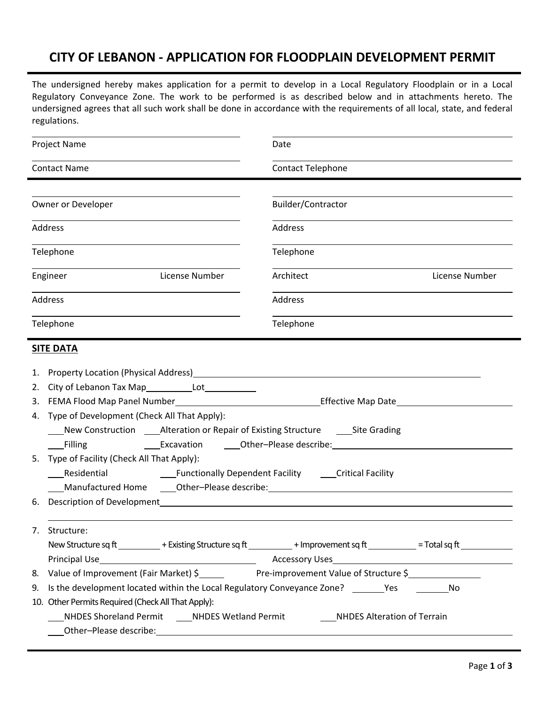## **CITY OF LEBANON ‐ APPLICATION FOR FLOODPLAIN DEVELOPMENT PERMIT**

The undersigned hereby makes application for a permit to develop in a Local Regulatory Floodplain or in a Local Regulatory Conveyance Zone. The work to be performed is as described below and in attachments hereto. The undersigned agrees that all such work shall be done in accordance with the requirements of all local, state, and federal regulations.

| Project Name                                                                                                                                                                                                                         | Date<br>Contact Telephone                                  |  |  |
|--------------------------------------------------------------------------------------------------------------------------------------------------------------------------------------------------------------------------------------|------------------------------------------------------------|--|--|
| <b>Contact Name</b>                                                                                                                                                                                                                  |                                                            |  |  |
| Owner or Developer                                                                                                                                                                                                                   | Builder/Contractor                                         |  |  |
| Address                                                                                                                                                                                                                              | Address                                                    |  |  |
| Telephone                                                                                                                                                                                                                            | Telephone                                                  |  |  |
| Engineer<br>License Number                                                                                                                                                                                                           | License Number<br>Architect                                |  |  |
| Address                                                                                                                                                                                                                              | Address                                                    |  |  |
| Telephone                                                                                                                                                                                                                            | Telephone                                                  |  |  |
| <b>SITE DATA</b>                                                                                                                                                                                                                     |                                                            |  |  |
| Property Location (Physical Address) <b>Example 2018</b> 2019 12:20:20 12:20:20 20:20:20:20:20:20:20:20:20:20:20:20:20<br>1.                                                                                                         |                                                            |  |  |
| 2.                                                                                                                                                                                                                                   |                                                            |  |  |
| 3.                                                                                                                                                                                                                                   |                                                            |  |  |
| Type of Development (Check All That Apply):<br>4.                                                                                                                                                                                    |                                                            |  |  |
| New Construction ______ Alteration or Repair of Existing Structure ______________ Site Grading                                                                                                                                       |                                                            |  |  |
| Filling                                                                                                                                                                                                                              |                                                            |  |  |
| Type of Facility (Check All That Apply):<br>5.                                                                                                                                                                                       |                                                            |  |  |
| Residential<br><b>Example 1</b> Functionally Dependent Facility <b>Critical Facility</b>                                                                                                                                             |                                                            |  |  |
|                                                                                                                                                                                                                                      | Manufactured Home Other-Please describe: Nanufactured Home |  |  |
| Description of Development expansion of the control of the control of the control of the control of the control of the control of the control of the control of the control of the control of the control of the control of th<br>6. |                                                            |  |  |
| Structure:<br>$\mathcal{L}$ .<br>New Structure sq ft ___________+ Existing Structure sq ft __________+ Improvement sq ft __________= Total sq ft ___________                                                                         |                                                            |  |  |
|                                                                                                                                                                                                                                      |                                                            |  |  |
| 8.                                                                                                                                                                                                                                   |                                                            |  |  |
| 9. Is the development located within the Local Regulatory Conveyance Zone? ___________________________________                                                                                                                       |                                                            |  |  |
| 10. Other Permits Required (Check All That Apply):                                                                                                                                                                                   |                                                            |  |  |
| NHDES Shoreland Permit ______NHDES Wetland Permit _____________NHDES Alteration of Terrain                                                                                                                                           |                                                            |  |  |
|                                                                                                                                                                                                                                      |                                                            |  |  |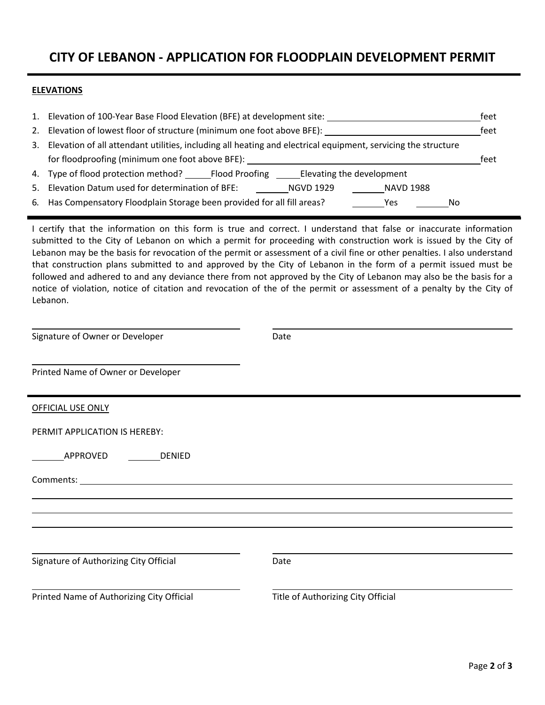### **CITY OF LEBANON ‐ APPLICATION FOR FLOODPLAIN DEVELOPMENT PERMIT**

#### **ELEVATIONS**

|                                                 | 1. Elevation of 100-Year Base Flood Elevation (BFE) at development site:                                         |      |  |
|-------------------------------------------------|------------------------------------------------------------------------------------------------------------------|------|--|
|                                                 | 2. Elevation of lowest floor of structure (minimum one foot above BFE):                                          |      |  |
|                                                 | 3. Elevation of all attendant utilities, including all heating and electrical equipment, servicing the structure |      |  |
| for floodproofing (minimum one foot above BFE): |                                                                                                                  | feet |  |
|                                                 | 4. Type of flood protection method? Flood Proofing Elevating the development                                     |      |  |
|                                                 | 5. Elevation Datum used for determination of BFE:<br>NGVD 1929<br>NAVD 1988                                      |      |  |
|                                                 | 6. Has Compensatory Floodplain Storage been provided for all fill areas?<br>Yes<br>Nο                            |      |  |

I certify that the information on this form is true and correct. I understand that false or inaccurate information submitted to the City of Lebanon on which a permit for proceeding with construction work is issued by the City of Lebanon may be the basis for revocation of the permit or assessment of a civil fine or other penalties. I also understand that construction plans submitted to and approved by the City of Lebanon in the form of a permit issued must be followed and adhered to and any deviance there from not approved by the City of Lebanon may also be the basis for a notice of violation, notice of citation and revocation of the of the permit or assessment of a penalty by the City of Lebanon.

<u> 1980 - Johann Barn, mars et al. (b. 1980)</u>

| Signature of Owner or Developer                                                                                                                                                                                                | Date                               |  |
|--------------------------------------------------------------------------------------------------------------------------------------------------------------------------------------------------------------------------------|------------------------------------|--|
| Printed Name of Owner or Developer                                                                                                                                                                                             |                                    |  |
| <b>OFFICIAL USE ONLY</b>                                                                                                                                                                                                       |                                    |  |
| PERMIT APPLICATION IS HEREBY:                                                                                                                                                                                                  |                                    |  |
| APPROVED DENIED                                                                                                                                                                                                                |                                    |  |
| Comments: commercial contracts and contracts of the contract of the contract of the contract of the contract of the contract of the contract of the contract of the contract of the contract of the contract of the contract o |                                    |  |
|                                                                                                                                                                                                                                |                                    |  |
|                                                                                                                                                                                                                                |                                    |  |
| Signature of Authorizing City Official                                                                                                                                                                                         | Date                               |  |
| Printed Name of Authorizing City Official                                                                                                                                                                                      | Title of Authorizing City Official |  |